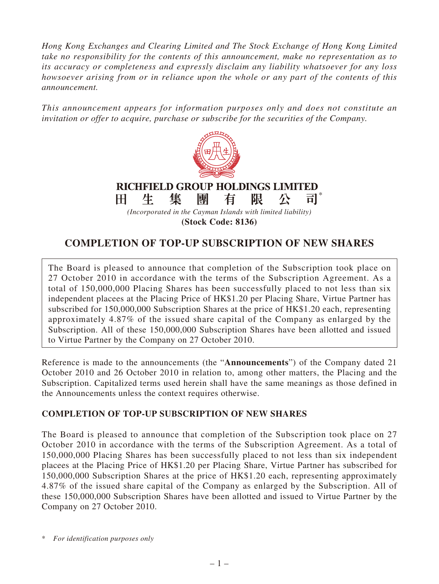*Hong Kong Exchanges and Clearing Limited and The Stock Exchange of Hong Kong Limited take no responsibility for the contents of this announcement, make no representation as to its accuracy or completeness and expressly disclaim any liability whatsoever for any loss howsoever arising from or in reliance upon the whole or any part of the contents of this announcement.*

*This announcement appears for information purposes only and does not constitute an invitation or offer to acquire, purchase or subscribe for the securities of the Company.*



## **RICHFIELD GROUP HOLDINGS LIMITED** \*

集 團 生 有 阻 H 公 司

*(Incorporated in the Cayman Islands with limited liability)* **(Stock Code: 8136)**

## **COMPLETION OF TOP-UP SUBSCRIPTION OF NEW SHARES**

The Board is pleased to announce that completion of the Subscription took place on 27 October 2010 in accordance with the terms of the Subscription Agreement. As a total of 150,000,000 Placing Shares has been successfully placed to not less than six independent placees at the Placing Price of HK\$1.20 per Placing Share, Virtue Partner has subscribed for 150,000,000 Subscription Shares at the price of HK\$1.20 each, representing approximately 4.87% of the issued share capital of the Company as enlarged by the Subscription. All of these 150,000,000 Subscription Shares have been allotted and issued to Virtue Partner by the Company on 27 October 2010.

Reference is made to the announcements (the "**Announcements**") of the Company dated 21 October 2010 and 26 October 2010 in relation to, among other matters, the Placing and the Subscription. Capitalized terms used herein shall have the same meanings as those defined in the Announcements unless the context requires otherwise.

## **COMPLETION OF TOP-UP SUBSCRIPTION OF NEW SHARES**

The Board is pleased to announce that completion of the Subscription took place on 27 October 2010 in accordance with the terms of the Subscription Agreement. As a total of 150,000,000 Placing Shares has been successfully placed to not less than six independent placees at the Placing Price of HK\$1.20 per Placing Share, Virtue Partner has subscribed for 150,000,000 Subscription Shares at the price of HK\$1.20 each, representing approximately 4.87% of the issued share capital of the Company as enlarged by the Subscription. All of these 150,000,000 Subscription Shares have been allotted and issued to Virtue Partner by the Company on 27 October 2010.

<sup>\*</sup> *For identification purposes only*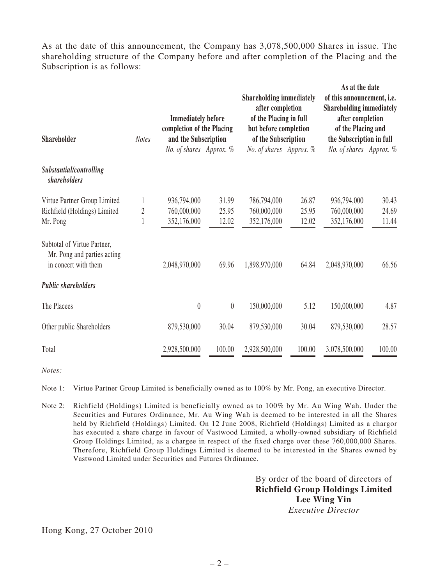As at the date of this announcement, the Company has 3,078,500,000 Shares in issue. The shareholding structure of the Company before and after completion of the Placing and the Subscription is as follows:

| <b>Shareholder</b>                                                                 | <b>Notes</b>   | <b>Immediately before</b><br>completion of the Placing<br>and the Subscription |                  | <b>Shareholding immediately</b><br>after completion<br>of the Placing in full<br>but before completion<br>of the Subscription |        | As at the date<br>of this announcement, i.e.<br><b>Shareholding immediately</b><br>after completion<br>of the Placing and<br>the Subscription in full |        |
|------------------------------------------------------------------------------------|----------------|--------------------------------------------------------------------------------|------------------|-------------------------------------------------------------------------------------------------------------------------------|--------|-------------------------------------------------------------------------------------------------------------------------------------------------------|--------|
|                                                                                    |                | No. of shares Approx. %                                                        |                  | No. of shares Approx. %                                                                                                       |        | No. of shares Approx. %                                                                                                                               |        |
| Substantial/controlling<br>shareholders                                            |                |                                                                                |                  |                                                                                                                               |        |                                                                                                                                                       |        |
| Virtue Partner Group Limited                                                       | 1              | 936,794,000                                                                    | 31.99            | 786,794,000                                                                                                                   | 26.87  | 936,794,000                                                                                                                                           | 30.43  |
| Richfield (Holdings) Limited                                                       | $\overline{2}$ | 760,000,000                                                                    | 25.95            | 760,000,000                                                                                                                   | 25.95  | 760,000,000                                                                                                                                           | 24.69  |
| Mr. Pong                                                                           |                | 352,176,000                                                                    | 12.02            | 352,176,000                                                                                                                   | 12.02  | 352,176,000                                                                                                                                           | 11.44  |
| Subtotal of Virtue Partner,<br>Mr. Pong and parties acting<br>in concert with them |                | 2,048,970,000                                                                  | 69.96            | 1,898,970,000                                                                                                                 | 64.84  | 2,048,970,000                                                                                                                                         | 66.56  |
| <b>Public shareholders</b>                                                         |                |                                                                                |                  |                                                                                                                               |        |                                                                                                                                                       |        |
| The Placees                                                                        |                | $\theta$                                                                       | $\boldsymbol{0}$ | 150,000,000                                                                                                                   | 5.12   | 150,000,000                                                                                                                                           | 4.87   |
| Other public Shareholders                                                          |                | 879,530,000                                                                    | 30.04            | 879,530,000                                                                                                                   | 30.04  | 879,530,000                                                                                                                                           | 28.57  |
| Total                                                                              |                | 2,928,500,000                                                                  | 100.00           | 2,928,500,000                                                                                                                 | 100.00 | 3,078,500,000                                                                                                                                         | 100.00 |

*Notes:*

Note 1: Virtue Partner Group Limited is beneficially owned as to 100% by Mr. Pong, an executive Director.

Note 2: Richfield (Holdings) Limited is beneficially owned as to 100% by Mr. Au Wing Wah. Under the Securities and Futures Ordinance, Mr. Au Wing Wah is deemed to be interested in all the Shares held by Richfield (Holdings) Limited. On 12 June 2008, Richfield (Holdings) Limited as a chargor has executed a share charge in favour of Vastwood Limited, a wholly-owned subsidiary of Richfield Group Holdings Limited, as a chargee in respect of the fixed charge over these 760,000,000 Shares. Therefore, Richfield Group Holdings Limited is deemed to be interested in the Shares owned by Vastwood Limited under Securities and Futures Ordinance.

> By order of the board of directors of **Richfield Group Holdings Limited Lee Wing Yin** *Executive Director*

Hong Kong, 27 October 2010